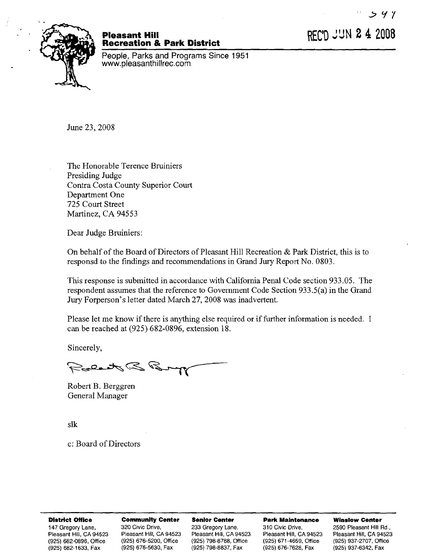REC'D JUN 2 4 2008



## **Pleasant Hill Recreation** & **Park District**

People, Parks and Programs Since 1951 www.pleasanthillrec.com

June 23,2008

The Honorable Terence Bruiniers Presiding Judge Contra Costa County Superior Court Department One 725 Court Street Martinez, CA 94553

Dear Judge Bruiniers:

On behalf of the Board of Directors of Pleasant Hill Recreation & Park District, this is to responsd to the findings and recommendations in Grand Jury Report No. 0803.

This response is submitted in accordance with California Penal Code section 933.05. The respondent assumes that the reference to Government Code Section 933.5(a) in the Grand Jury Forperson's letter dated March 27,2008 was inadvertent.

Please let me know if there is anything else required or if further information is needed. I can be reached at (925) 682-0896, extension 18.

Sincerely,

Labat B B

Robert B. Berggren General Manager

slk

c: Board of Directors

### **District Office Community Center Senior Center Park Maintenance Winslow Center**

(925) 682-1 633, Fax (925) 676-5630, Fax (925) 798-8837, Fax (925) 676-7628, Fax (925) 937-6342, Fax

147 Gregory Lane, 320 Civic Drive, 233 Gregory Lane, 310 Civic Drive, 2590 Pleasant Hill Rd., 147 Gregory Lane<br>194523 Pleasant Hill, CA 94523 Pleasant Hill, CA 94523 Pleasant Hill, CA 94523 Pleasant Hill, CA 94523 Pleasant Hill, CA 94523 Pleasant Hill, CA 94523 Pleasant Hill, CA 94523 Pleasant Hill, CA 94523 Pleasant Hill, CA 94523 (925) 682-0896, Office (925) 676-5200, Office (925) 798-8788, Office (925) 671-4659, Office (925) 937-2707, Office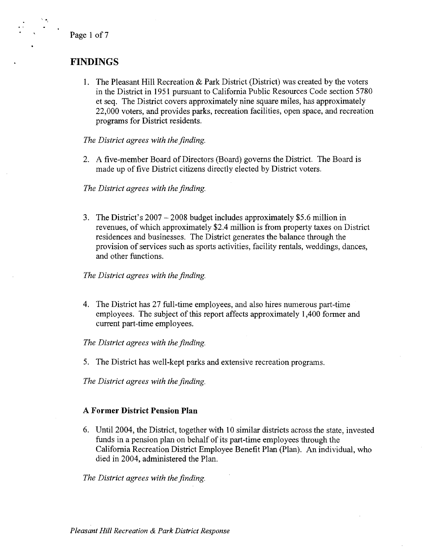**<sup>I</sup>**Page 1 of 7

. . . **<sup>z</sup>**

# **FINDINGS**

1. The Pleasant Hill Recreation & Park District (District) was created by the voters in the District in 1951 pursuant to California Public Resources Code section 5780 et seq. The District covers approximately nine square miles, has approximately 22,000 voters, and provides parks, recreation facilities, open space, and recreation programs for District residents.

*The District agrees with the finding.* 

2. A five-member Board of Directors (Board) governs the District. The Board is made up of five District citizens directly elected by District voters.

*The District agrees with the finding.* 

**3.** The District's 2007 - 2008 budget includes approximately \$5.6 million in revenues, of which approximately \$2.4 million is from property taxes on District residences and businesses. The District generates the balance through the provision of services such as sports activities, facility rentals, weddings, dances, and other functions.

*The District agrees with the finding.* 

4. The District has 27 full-time employees, and also hires numerous part-time employees. The subject of this report affects approximately 1,400 former and current part-time employees.

*The District agrees with the finding.* 

5. The District has well-kept pzrks and extensive recreation programs.

*The District agrees with the finding.* 

## **A Former District Pension Plan**

6. Until 2004, the District, together with 10 similar districts across the state, invested funds in a pension plan on behalf of its part-time employees through the California Recreation District Employee Benefit Plan (Plan). An individual, who died in 2004, administered the Plan.

*The District agrees with the finding.*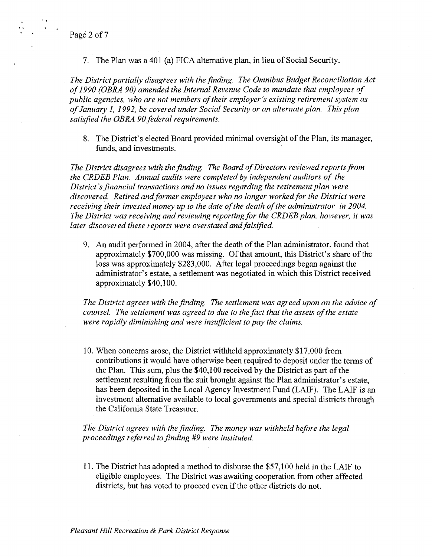**-4** Page 2 of 7

.<br>.<br>.

7. The Plan was a 401 (a) FICA alternative plan, in lieu of Social Security.

*The District partially disagrees with the finding. The Omnibus Budget Reconciliation Act of 1990 (OBRA 90) amended the Internal Revenue Code to mandate that employees of public agencies, who are not members of their employer's existing retirement system as of January I, 1992, be covered under Social Security or an alternate plan. This plan satisfied the OBRA 90 federal requirements.* 

8. The District's elected Board provided minimal oversight of the Plan, its manager, funds, and investments.

*The District disagrees with the finding. The Board of Directors reviewed reports fiom the CRDEB Plan. Annual audits were completed by independent auditors of the District's financial transactions and no issues regarding the retirement plan were discovered. Retired and former employees who no longer worked for the District were receiving their invested money up to the date of the death of the administrator in 2004.*  The District was receiving and reviewing reporting for the CRDEB plan, however, it was *later discovered these reports were overstated and falsified.* 

9. An audit performed in 2004, after the death of the Plan administrator, found that approximately \$700,000 was missing. Of that amount, this District's share of the loss was approximately \$283,000. After legal proceedings began against the administrator's estate, a settlement was negotiated in which this District received approximately \$40,100.

*The District agrees with the finding. The settlement was agreed upon on the advice of counsel. The settlement was agreed to due to the fact that the assets of the estate were rapidly diminishing and were insuficient to pay the claims.* 

10. When concerns arose, the District withheld approximately \$17,000 from contributions it would have otherwise been required to deposit under the terms of the Plan. This sum, plus the \$40,100 received by the District as part of the settlement resulting from the suit brought against the Plan administrator's estate, has been deposited in the Local Agency Investment Fund (LAIF). The LAIF is an investment alternative available to local governments and special districts through the California State Treasurer.

*The District agrees with the finding. The money was withheld before the legal proceedings referred to finding #9 were instituted.* 

1 1. The District has adopted a method to disburse the \$57,100 held in the LAIF to eligible employees. The District was awaiting cooperation from other affected districts, but has voted to proceed even if the other districts do not,

*Pleasant Hill Recreation* & *Park* **District** *Response*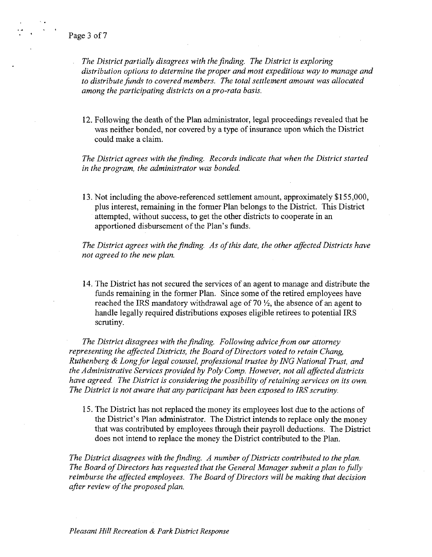**Page 3 of 7** 

*The District partially disagrees with the finding. The District is exploring distribution options to determine the proper and most expeditious way to manage and to distribute funds to covered members. The total settlement amount was allocated among the participating districts on a pro-rata basis.* 

12. Following the death of the Plan administrator, legal proceedings revealed that he was neither bonded, nor covered by a type of insurance upon which the District could make a claim.

*The District agrees with the finding. Records indicate that when the District started in the program, the administrator was bonded.* 

13. Not including the above-referenced settlement amount, approximately \$1 55,000, plus interest, remaining in the former Plan belongs to the District. This District attempted, without success, to get the other districts to cooperate in an apportioned disbursement of the Plan's funds.

*The District agrees with the finding. As of this date, the other affected Districts have not agreed to the new plan.* 

14. The District has not secured the services of an agent to manage and distribute the funds remaining in the former Plan. Since some of the retired employees have reached the IRS mandatory withdrawal age of 70  $\frac{1}{2}$ , the absence of an agent to handle legally required distributions exposes eligible retirees to potential IRS scrutiny.

*The District disagrees with the finding. Following advice from our attorney representing the affected Districts, the Board of Directors voted to retain Chang, Ruthenberg* & *Long for legal counsel, professional trustee by ING National Trust, and the Administrative Services provided by Poly Comp. However, not all aflected districts have agreed. The District is considering the possibility of retaining services on its own. The District is not aware that any participant has been exposed to IRS scrutiny.* 

15. The District has not replaced the money its employees lost due to the actions of the District's Plan administrator. The District intends to replace only the money that was contributed by employees through their payroll deductions. The District does not intend to replace the money the District contributed to the Plan.

*The District disagrees with the finding. A number of Districts contributed to the plan. The Board of Directors has requested that the General Manager submit a plan to fully reimburse the affected employees. The Board of Directors will be making that decision after review of the proposed plan.*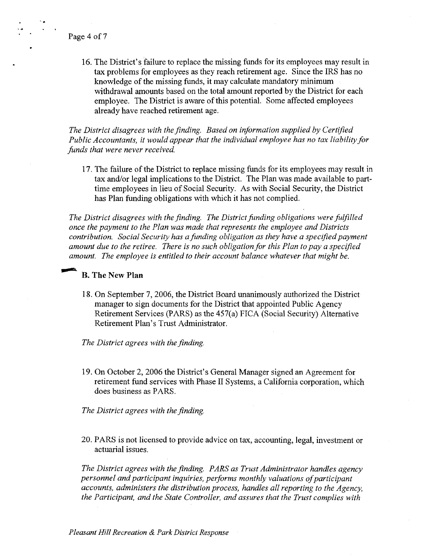**<sup>r</sup><sup>l</sup>**. , . . Page **4** of **<sup>7</sup>**

16. The District's failure to replace the missing funds for its employees may result in tax problems for employees as they reach retirement age. Since the IRS has no knowledge of the missing funds, it may calculate mandatory minimum withdrawal amounts based on the total amount reported by the District for each employee. The District is aware of this potential. Some affected employees already have reached retirement age.

*The District disagrees with the finding. Based on information supplied by Certified Public Accountants, it would appear that the individual employee has no tax liability for funds that were never received.* 

17. The failure of the District to replace missing funds for its employees may result in tax and/or legal implications to the District. The Plan was made available to parttime employees in lieu of Social Security. As with Social Security, the District has Plan funding obligations with which it has not complied.

*The District disagrees with the finding. The District funding obligations were fulfilled once the payment to the Plan was made that represents the employee and Districts contribution. Social Security has a funding obligation as they have a specljiedpayment amount due to the retiree. There is no such obligation for this Plan to pay a speciJied ance the payment to the Plan was made that represents the employee and Districts contribution. Social Security has a funding obligation as they have a specified pay a mount due to the retiree. There is no such obligation* 

18. On September 7, 2006, the District Board unanimously authorized the District manager to sign documents for the District that appointed Public Agency Retirement Services (PARS) as the 457(a) FICA (Social Security) Alternative Retirement Plan's Trust Administrator.

*The District agrees with the finding.* 

19. On October 2,2006 the District's General Manager signed an Agreement for retirement fund services with Phase I1 Systems, a California corporation, which does business as PARS.

*The District agrees with the finding.* 

20. PARS is not licensed to provide advice on tax, accounting, legal, investment or actuarial issues.

The District agrees with the finding. PARS as Trust Administrator handles agency *personnel and participant inquiries, performs monthly valuations of participant accounts, administers the distribution process, handles all reporting to the Agency, the Participant, and the State Controller, and assures that the Trust complies with*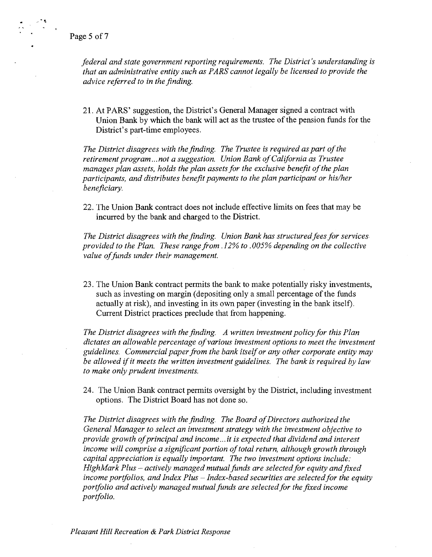\* ,A - **<sup>5</sup>** \*.

> *federal and state government reporting requirements. The District's understanding is that an administrative entity such as PARS cannot legally be licensed to provide the advice referred to in the finding.*

21. At PARS' suggestion, the District's General Manager signed a contract with Union Bank by which the bank will act as the trustee of the pension funds for the District's part-time employees.

*The District disagrees with the finding. The Trustee is required as part of the retirement program* ... *not a suggestion. Union Bank of California as Trustee manages plan assets, holds the plan assets for the exclusive benefit of the plan participants, and distributes benefit payments to the plan participant or his/her beneficiary.* 

22. The Union Bank contract does not include effective limits on fees that may be incurred by the bank and charged to the District.

*The District disagrees with the finding. Union Bank has structured fees for services. provided to the Plan. These range from .12% to .005% depending on the collective value of funds under their management.* 

23. The Union Bank contract permits the bank to make potentially risky investments, such as investing on margin (depositing only a small percentage of the funds actually at risk), and investing in its own paper (investing in the bank itself). Current District practices preclude that from happening.

*The District disagrees with the finding. A written investment policy for this Plan dictates an allowable percentage of various investment options to meet the investment*  guidelines. Commercial paper from the bank itself or any other corporate entity may *be allowed ifit meets the written investment guidelines. The bank is required by law to make only prudent investments.* 

*24.* The Union Bank contract permits oversight by the District, including investment options. The District Board has not done so.

*The District disagrees with the finding. The Board of Directors authorized the General Manager to select an investment strategy with the investment objective to provide growth of principal and income ... it is expected that dividend and interest income will comprise a significant portion of total return, although growth through capital appreciation is equally important. The two investment options include: HighMark Plus – actively managed mutual funds are selected for equity and fixed income portfolios, and Index Plus* - *Index-based securities are selected for the equity portfolio and actively managed mutual funds are selected for the fixed income portfolio.*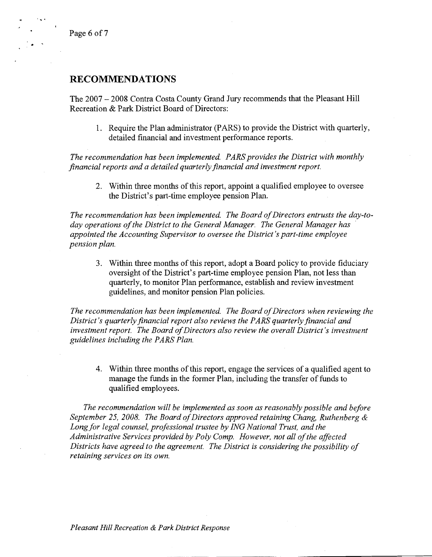Page 6 of 7

**1** 

# **RECOMMENDATIONS**

The 2007 - 2008 Contra Costa County Grand Jury recommends that the Pleasant Hill Recreation & Park District Board of Directors:

1. Require the Plan administrator (PARS) to provide the District with quarterly, detailed financial and investment performance reports.

The recommendation has been implemented. PARS provides the District with monthly *financial reports and a detailed quarterly financial and investment report.* 

2. Within three months of this report, appoint a qualified employee to oversee the District's part-time employee pension Plan.

*The recommendation has been implemented. The Board of Directors entrusts the day-today operations of the District to the General Manager. The General Manager has appointed the Accounting Supervisor to oversee the District's part-time employee pension plan.* 

3. Within three months of this report, adopt a Board policy to provide fiduciary oversight of the District's part-time employee pension Plan, not less than quarterly, to monitor Plan performance, establish and review investment guidelines, and monitor pension Plan policies.

*The recommendation has been implemented. The Board of Directors when reviewing the District's quarterly financial report also reviews the PARS quarterly financial and investment report. The Board of Directors also review the overall District's investment guidelines including the PARS Plan.* 

4. Within three months of this report, engage the services of a qualified agent to manage the funds in the former Plan, including the transfer of funds to qualified employees.

*The recommendation will be implemented as soon as reasonably possible and before September 25, 2008. The Board of Directors approved retaining Chang, Ruthenberg* & *Long for legal counsel, professional trustee by ING National Trust, and the Administrative Services provided by Poly Comp. However, not all of the affected Districts have agreed to the agreement. The District is considering the possibility of retaining services on its own.* 

*Pleasant Hill Recreation* & *Park District Response*